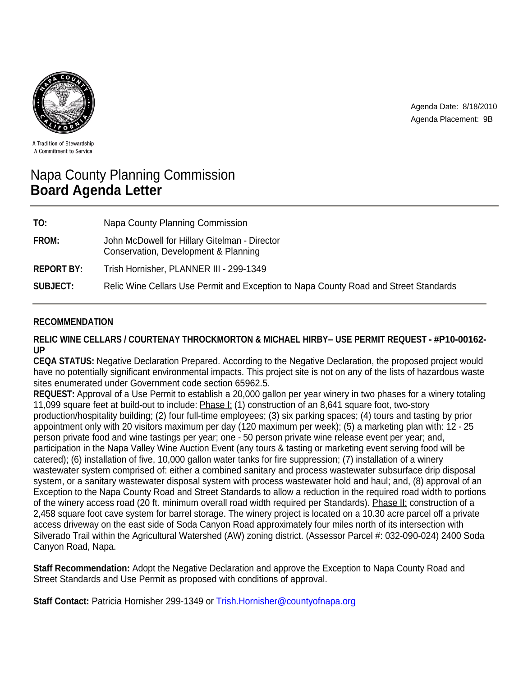

Agenda Date: 8/18/2010 Agenda Placement: 9B

A Tradition of Stewardship A Commitment to Service

# Napa County Planning Commission **Board Agenda Letter**

| TO:               | Napa County Planning Commission                                                       |
|-------------------|---------------------------------------------------------------------------------------|
| <b>FROM:</b>      | John McDowell for Hillary Gitelman - Director<br>Conservation, Development & Planning |
| <b>REPORT BY:</b> | Trish Hornisher, PLANNER III - 299-1349                                               |
| <b>SUBJECT:</b>   | Relic Wine Cellars Use Permit and Exception to Napa County Road and Street Standards  |

# **RECOMMENDATION**

**RELIC WINE CELLARS / COURTENAY THROCKMORTON & MICHAEL HIRBY– USE PERMIT REQUEST - #P10-00162- UP**

**CEQA STATUS:** Negative Declaration Prepared. According to the Negative Declaration, the proposed project would have no potentially significant environmental impacts. This project site is not on any of the lists of hazardous waste sites enumerated under Government code section 65962.5.

**REQUEST:** Approval of a Use Permit to establish a 20,000 gallon per year winery in two phases for a winery totaling 11,099 square feet at build-out to include: **Phase I:** (1) construction of an 8,641 square foot, two-story production/hospitality building; (2) four full-time employees; (3) six parking spaces; (4) tours and tasting by prior appointment only with 20 visitors maximum per day (120 maximum per week); (5) a marketing plan with: 12 - 25 person private food and wine tastings per year; one - 50 person private wine release event per year; and, participation in the Napa Valley Wine Auction Event (any tours & tasting or marketing event serving food will be catered); (6) installation of five, 10,000 gallon water tanks for fire suppression; (7) installation of a winery wastewater system comprised of: either a combined sanitary and process wastewater subsurface drip disposal system, or a sanitary wastewater disposal system with process wastewater hold and haul; and, (8) approval of an Exception to the Napa County Road and Street Standards to allow a reduction in the required road width to portions of the winery access road (20 ft. minimum overall road width required per Standards). Phase II: construction of a 2,458 square foot cave system for barrel storage. The winery project is located on a 10.30 acre parcel off a private access driveway on the east side of Soda Canyon Road approximately four miles north of its intersection with Silverado Trail within the Agricultural Watershed (AW) zoning district. (Assessor Parcel #: 032-090-024) 2400 Soda Canyon Road, Napa.

**Staff Recommendation:** Adopt the Negative Declaration and approve the Exception to Napa County Road and Street Standards and Use Permit as proposed with conditions of approval.

**Staff Contact:** Patricia Hornisher 299-1349 or Trish.Hornisher@countyofnapa.org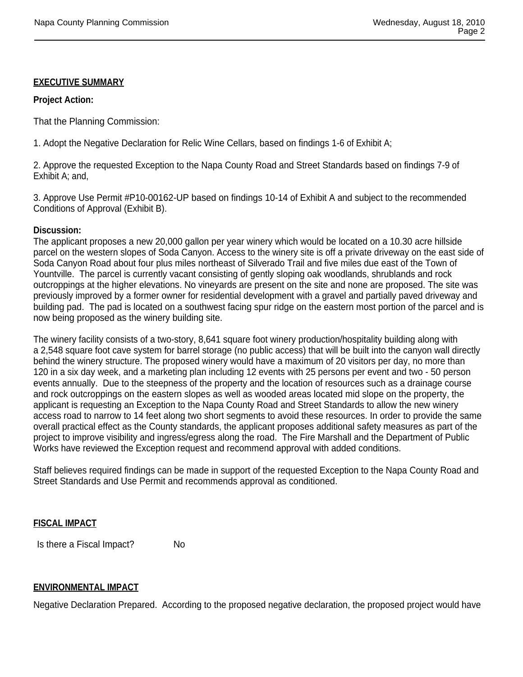## **EXECUTIVE SUMMARY**

#### **Project Action:**

That the Planning Commission:

1. Adopt the Negative Declaration for Relic Wine Cellars, based on findings 1-6 of Exhibit A;

2. Approve the requested Exception to the Napa County Road and Street Standards based on findings 7-9 of Exhibit A; and,

3. Approve Use Permit #P10-00162-UP based on findings 10-14 of Exhibit A and subject to the recommended Conditions of Approval (Exhibit B).

## **Discussion:**

The applicant proposes a new 20,000 gallon per year winery which would be located on a 10.30 acre hillside parcel on the western slopes of Soda Canyon. Access to the winery site is off a private driveway on the east side of Soda Canyon Road about four plus miles northeast of Silverado Trail and five miles due east of the Town of Yountville. The parcel is currently vacant consisting of gently sloping oak woodlands, shrublands and rock outcroppings at the higher elevations. No vineyards are present on the site and none are proposed. The site was previously improved by a former owner for residential development with a gravel and partially paved driveway and building pad. The pad is located on a southwest facing spur ridge on the eastern most portion of the parcel and is now being proposed as the winery building site.

The winery facility consists of a two-story, 8,641 square foot winery production/hospitality building along with a 2,548 square foot cave system for barrel storage (no public access) that will be built into the canyon wall directly behind the winery structure. The proposed winery would have a maximum of 20 visitors per day, no more than 120 in a six day week, and a marketing plan including 12 events with 25 persons per event and two - 50 person events annually. Due to the steepness of the property and the location of resources such as a drainage course and rock outcroppings on the eastern slopes as well as wooded areas located mid slope on the property, the applicant is requesting an Exception to the Napa County Road and Street Standards to allow the new winery access road to narrow to 14 feet along two short segments to avoid these resources. In order to provide the same overall practical effect as the County standards, the applicant proposes additional safety measures as part of the project to improve visibility and ingress/egress along the road. The Fire Marshall and the Department of Public Works have reviewed the Exception request and recommend approval with added conditions.

Staff believes required findings can be made in support of the requested Exception to the Napa County Road and Street Standards and Use Permit and recommends approval as conditioned.

## **FISCAL IMPACT**

Is there a Fiscal Impact? No

## **ENVIRONMENTAL IMPACT**

Negative Declaration Prepared. According to the proposed negative declaration, the proposed project would have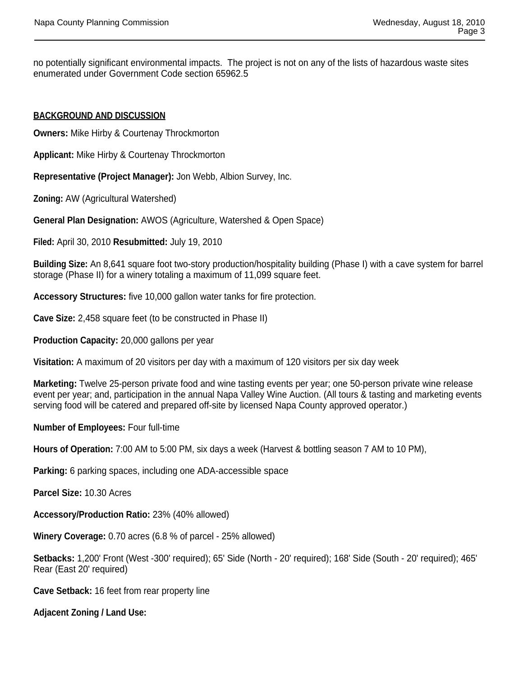no potentially significant environmental impacts. The project is not on any of the lists of hazardous waste sites enumerated under Government Code section 65962.5

# **BACKGROUND AND DISCUSSION**

**Owners:** Mike Hirby & Courtenay Throckmorton

**Applicant:** Mike Hirby & Courtenay Throckmorton

**Representative (Project Manager):** Jon Webb, Albion Survey, Inc.

**Zoning:** AW (Agricultural Watershed)

**General Plan Designation:** AWOS (Agriculture, Watershed & Open Space)

**Filed:** April 30, 2010 **Resubmitted:** July 19, 2010

**Building Size:** An 8,641 square foot two-story production/hospitality building (Phase I) with a cave system for barrel storage (Phase II) for a winery totaling a maximum of 11,099 square feet.

**Accessory Structures:** five 10,000 gallon water tanks for fire protection.

**Cave Size:** 2,458 square feet (to be constructed in Phase II)

**Production Capacity:** 20,000 gallons per year

**Visitation:** A maximum of 20 visitors per day with a maximum of 120 visitors per six day week

**Marketing:** Twelve 25-person private food and wine tasting events per year; one 50-person private wine release event per year; and, participation in the annual Napa Valley Wine Auction. (All tours & tasting and marketing events serving food will be catered and prepared off-site by licensed Napa County approved operator.)

**Number of Employees:** Four full-time

**Hours of Operation:** 7:00 AM to 5:00 PM, six days a week (Harvest & bottling season 7 AM to 10 PM),

**Parking:** 6 parking spaces, including one ADA-accessible space

**Parcel Size:** 10.30 Acres

**Accessory/Production Ratio:** 23% (40% allowed)

**Winery Coverage:** 0.70 acres (6.8 % of parcel - 25% allowed)

**Setbacks:** 1,200' Front (West -300' required); 65' Side (North - 20' required); 168' Side (South - 20' required); 465' Rear (East 20' required)

**Cave Setback:** 16 feet from rear property line

**Adjacent Zoning / Land Use:**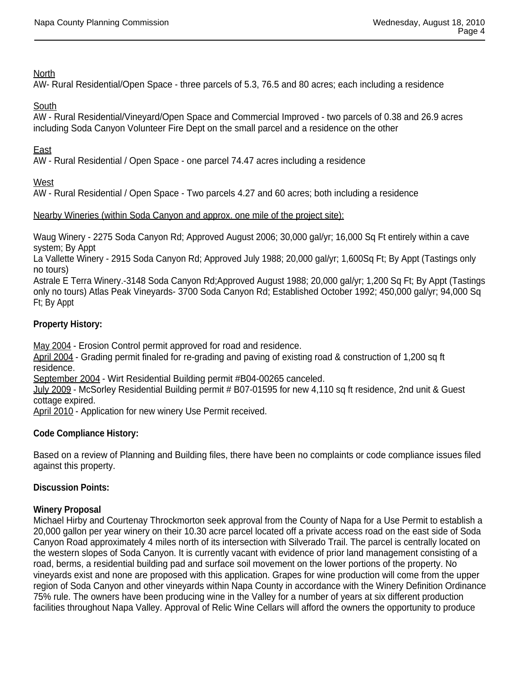# North

AW- Rural Residential/Open Space - three parcels of 5.3, 76.5 and 80 acres; each including a residence

# South

AW - Rural Residential/Vineyard/Open Space and Commercial Improved - two parcels of 0.38 and 26.9 acres including Soda Canyon Volunteer Fire Dept on the small parcel and a residence on the other

# East

AW - Rural Residential / Open Space - one parcel 74.47 acres including a residence

West

AW - Rural Residential / Open Space - Two parcels 4.27 and 60 acres; both including a residence

# Nearby Wineries (within Soda Canyon and approx. one mile of the project site):

Waug Winery - 2275 Soda Canyon Rd; Approved August 2006; 30,000 gal/yr; 16,000 Sq Ft entirely within a cave system; By Appt

La Vallette Winery - 2915 Soda Canyon Rd; Approved July 1988; 20,000 gal/yr; 1,600Sq Ft; By Appt (Tastings only no tours)

Astrale E Terra Winery.-3148 Soda Canyon Rd;Approved August 1988; 20,000 gal/yr; 1,200 Sq Ft; By Appt (Tastings only no tours) Atlas Peak Vineyards- 3700 Soda Canyon Rd; Established October 1992; 450,000 gal/yr; 94,000 Sq Ft; By Appt

# **Property History:**

May 2004 - Erosion Control permit approved for road and residence.

April 2004 - Grading permit finaled for re-grading and paving of existing road & construction of 1,200 sq ft residence.

September 2004 - Wirt Residential Building permit #B04-00265 canceled.

July 2009 - McSorley Residential Building permit # B07-01595 for new 4,110 sq ft residence, 2nd unit & Guest cottage expired.

April 2010 - Application for new winery Use Permit received.

## **Code Compliance History:**

Based on a review of Planning and Building files, there have been no complaints or code compliance issues filed against this property.

## **Discussion Points:**

## **Winery Proposal**

Michael Hirby and Courtenay Throckmorton seek approval from the County of Napa for a Use Permit to establish a 20,000 gallon per year winery on their 10.30 acre parcel located off a private access road on the east side of Soda Canyon Road approximately 4 miles north of its intersection with Silverado Trail. The parcel is centrally located on the western slopes of Soda Canyon. It is currently vacant with evidence of prior land management consisting of a road, berms, a residential building pad and surface soil movement on the lower portions of the property. No vineyards exist and none are proposed with this application. Grapes for wine production will come from the upper region of Soda Canyon and other vineyards within Napa County in accordance with the Winery Definition Ordinance 75% rule. The owners have been producing wine in the Valley for a number of years at six different production facilities throughout Napa Valley. Approval of Relic Wine Cellars will afford the owners the opportunity to produce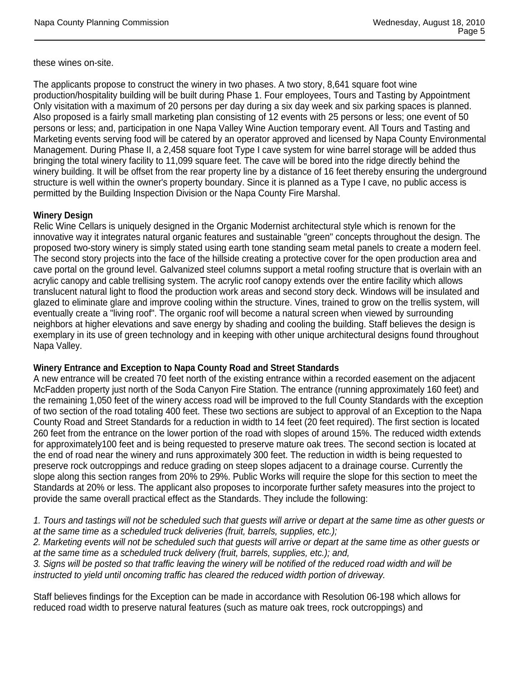these wines on-site.

The applicants propose to construct the winery in two phases. A two story, 8,641 square foot wine production/hospitality building will be built during Phase 1. Four employees, Tours and Tasting by Appointment Only visitation with a maximum of 20 persons per day during a six day week and six parking spaces is planned. Also proposed is a fairly small marketing plan consisting of 12 events with 25 persons or less; one event of 50 persons or less; and, participation in one Napa Valley Wine Auction temporary event. All Tours and Tasting and Marketing events serving food will be catered by an operator approved and licensed by Napa County Environmental Management. During Phase II, a 2,458 square foot Type I cave system for wine barrel storage will be added thus bringing the total winery facility to 11,099 square feet. The cave will be bored into the ridge directly behind the winery building. It will be offset from the rear property line by a distance of 16 feet thereby ensuring the underground structure is well within the owner's property boundary. Since it is planned as a Type I cave, no public access is permitted by the Building Inspection Division or the Napa County Fire Marshal.

## **Winery Design**

Relic Wine Cellars is uniquely designed in the Organic Modernist architectural style which is renown for the innovative way it integrates natural organic features and sustainable "green" concepts throughout the design. The proposed two-story winery is simply stated using earth tone standing seam metal panels to create a modern feel. The second story projects into the face of the hillside creating a protective cover for the open production area and cave portal on the ground level. Galvanized steel columns support a metal roofing structure that is overlain with an acrylic canopy and cable trellising system. The acrylic roof canopy extends over the entire facility which allows translucent natural light to flood the production work areas and second story deck. Windows will be insulated and glazed to eliminate glare and improve cooling within the structure. Vines, trained to grow on the trellis system, will eventually create a "living roof". The organic roof will become a natural screen when viewed by surrounding neighbors at higher elevations and save energy by shading and cooling the building. Staff believes the design is exemplary in its use of green technology and in keeping with other unique architectural designs found throughout Napa Valley.

#### **Winery Entrance and Exception to Napa County Road and Street Standards**

A new entrance will be created 70 feet north of the existing entrance within a recorded easement on the adjacent McFadden property just north of the Soda Canyon Fire Station. The entrance (running approximately 160 feet) and the remaining 1,050 feet of the winery access road will be improved to the full County Standards with the exception of two section of the road totaling 400 feet. These two sections are subject to approval of an Exception to the Napa County Road and Street Standards for a reduction in width to 14 feet (20 feet required). The first section is located 260 feet from the entrance on the lower portion of the road with slopes of around 15%. The reduced width extends for approximately100 feet and is being requested to preserve mature oak trees. The second section is located at the end of road near the winery and runs approximately 300 feet. The reduction in width is being requested to preserve rock outcroppings and reduce grading on steep slopes adjacent to a drainage course. Currently the slope along this section ranges from 20% to 29%. Public Works will require the slope for this section to meet the Standards at 20% or less. The applicant also proposes to incorporate further safety measures into the project to provide the same overall practical effect as the Standards. They include the following:

*1. Tours and tastings will not be scheduled such that guests will arrive or depart at the same time as other guests or at the same time as a scheduled truck deliveries (fruit, barrels, supplies, etc.);* 

*2. Marketing events will not be scheduled such that guests will arrive or depart at the same time as other guests or at the same time as a scheduled truck delivery (fruit, barrels, supplies, etc.); and,* 

*3. Signs will be posted so that traffic leaving the winery will be notified of the reduced road width and will be instructed to yield until oncoming traffic has cleared the reduced width portion of driveway.*

Staff believes findings for the Exception can be made in accordance with Resolution 06-198 which allows for reduced road width to preserve natural features (such as mature oak trees, rock outcroppings) and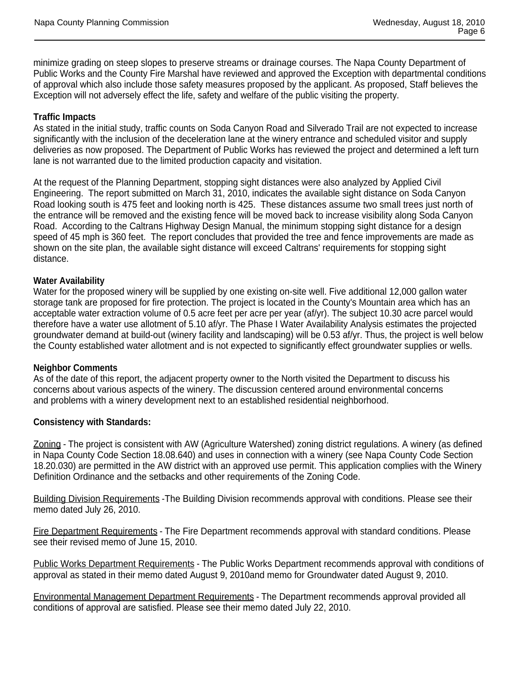minimize grading on steep slopes to preserve streams or drainage courses. The Napa County Department of Public Works and the County Fire Marshal have reviewed and approved the Exception with departmental conditions of approval which also include those safety measures proposed by the applicant. As proposed, Staff believes the Exception will not adversely effect the life, safety and welfare of the public visiting the property.

# **Traffic Impacts**

As stated in the initial study, traffic counts on Soda Canyon Road and Silverado Trail are not expected to increase significantly with the inclusion of the deceleration lane at the winery entrance and scheduled visitor and supply deliveries as now proposed. The Department of Public Works has reviewed the project and determined a left turn lane is not warranted due to the limited production capacity and visitation.

At the request of the Planning Department, stopping sight distances were also analyzed by Applied Civil Engineering. The report submitted on March 31, 2010, indicates the available sight distance on Soda Canyon Road looking south is 475 feet and looking north is 425. These distances assume two small trees just north of the entrance will be removed and the existing fence will be moved back to increase visibility along Soda Canyon Road. According to the Caltrans Highway Design Manual, the minimum stopping sight distance for a design speed of 45 mph is 360 feet. The report concludes that provided the tree and fence improvements are made as shown on the site plan, the available sight distance will exceed Caltrans' requirements for stopping sight distance.

#### **Water Availability**

Water for the proposed winery will be supplied by one existing on-site well. Five additional 12,000 gallon water storage tank are proposed for fire protection. The project is located in the County's Mountain area which has an acceptable water extraction volume of 0.5 acre feet per acre per year (af/yr). The subject 10.30 acre parcel would therefore have a water use allotment of 5.10 af/yr. The Phase I Water Availability Analysis estimates the projected groundwater demand at build-out (winery facility and landscaping) will be 0.53 af/yr. Thus, the project is well below the County established water allotment and is not expected to significantly effect groundwater supplies or wells.

#### **Neighbor Comments**

As of the date of this report, the adjacent property owner to the North visited the Department to discuss his concerns about various aspects of the winery. The discussion centered around environmental concerns and problems with a winery development next to an established residential neighborhood.

## **Consistency with Standards:**

Zoning - The project is consistent with AW (Agriculture Watershed) zoning district regulations. A winery (as defined in Napa County Code Section 18.08.640) and uses in connection with a winery (see Napa County Code Section 18.20.030) are permitted in the AW district with an approved use permit. This application complies with the Winery Definition Ordinance and the setbacks and other requirements of the Zoning Code.

Building Division Requirements -The Building Division recommends approval with conditions. Please see their memo dated July 26, 2010.

Fire Department Requirements - The Fire Department recommends approval with standard conditions. Please see their revised memo of June 15, 2010.

Public Works Department Requirements - The Public Works Department recommends approval with conditions of approval as stated in their memo dated August 9, 2010and memo for Groundwater dated August 9, 2010.

Environmental Management Department Requirements - The Department recommends approval provided all conditions of approval are satisfied. Please see their memo dated July 22, 2010.